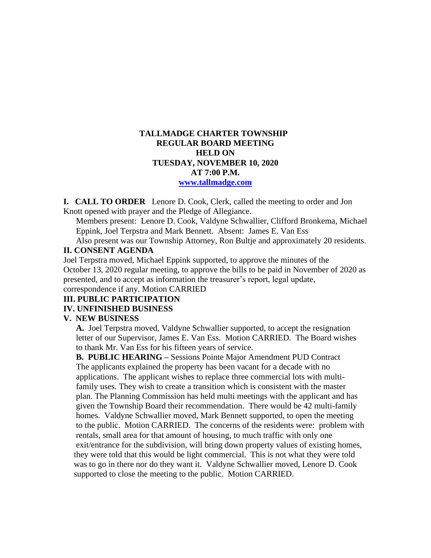# **TALLMADGE CHARTER TOWNSHIP REGULAR BOARD MEETING HELD ON TUESDAY, NOVEMBER 10, 2020 AT 7:00 P.M. [www.tallmadge.com](http://www.tallmadge.com/)**

**I. CALL TO ORDER** Lenore D. Cook, Clerk, called the meeting to order and Jon Knott opened with prayer and the Pledge of Allegiance.

Members present: Lenore D. Cook, Valdyne Schwallier, Clifford Bronkema, Michael Eppink, Joel Terpstra and Mark Bennett. Absent: James E. Van Ess

Also present was our Township Attorney, Ron Bultje and approximately 20 residents. **II. CONSENT AGENDA** 

Joel Terpstra moved, Michael Eppink supported, to approve the minutes of the October 13, 2020 regular meeting, to approve the bills to be paid in November of 2020 as presented, and to accept as information the treasurer's report, legal update, correspondence if any. Motion CARRIED

# **III. PUBLIC PARTICIPATION**

### **IV. UNFINISHED BUSINESS**

#### **V. NEW BUSINESS**

 **A.** Joel Terpstra moved, Valdyne Schwallier supported, to accept the resignation letter of our Supervisor, James E. Van Ess. Motion CARRIED. The Board wishes to thank Mr. Van Ess for his fifteen years of service.

 **B. PUBLIC HEARING –** Sessions Pointe Major Amendment PUD Contract The applicants explained the property has been vacant for a decade with no applications. The applicant wishes to replace three commercial lots with multi family uses. They wish to create a transition which is consistent with the master plan. The Planning Commission has held multi meetings with the applicant and has given the Township Board their recommendation. There would be 42 multi-family homes. Valdyne Schwallier moved, Mark Bennett supported, to open the meeting to the public. Motion CARRIED. The concerns of the residents were: problem with rentals, small area for that amount of housing, to much traffic with only one exit/entrance for the subdivision, will bring down property values of existing homes, they were told that this would be light commercial. This is not what they were told was to go in there nor do they want it. Valdyne Schwallier moved, Lenore D. Cook supported to close the meeting to the public. Motion CARRIED.